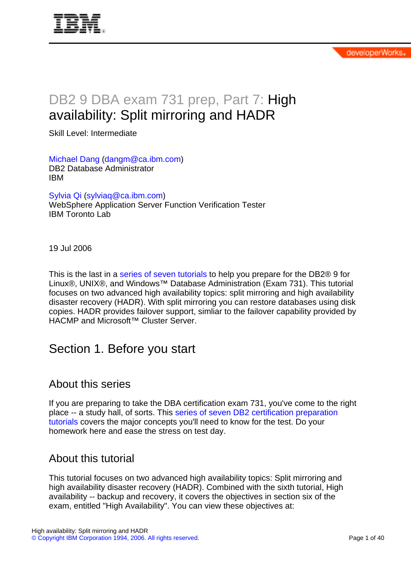# DB2 9 DBA exam 731 prep, Part 7: High availability: Split mirroring and HADR

Skill Level: Intermediate

[Michael Dang](#page-38-0) ([dangm@ca.ibm.com\)](mailto:dangm@ca.ibm.com) DB2 Database Administrator IBM

[Sylvia Qi](#page-38-0) ([sylviaq@ca.ibm.com\)](mailto:sylviaq@ca.ibm.com) WebSphere Application Server Function Verification Tester IBM Toronto Lab

19 Jul 2006

This is the last in a [series of seven tutorials](http://www.ibm.com/developerworks/offers/lp/db2cert/db2-cert731.html?S_TACT=105AGX19&S_CMP=db2cert) to help you prepare for the DB2<sup>®</sup> 9 for Linux®, UNIX®, and Windows™ Database Administration (Exam 731). This tutorial focuses on two advanced high availability topics: split mirroring and high availability disaster recovery (HADR). With split mirroring you can restore databases using disk copies. HADR provides failover support, simliar to the failover capability provided by HACMP and Microsoft™ Cluster Server.

## Section 1. Before you start

### About this series

If you are preparing to take the DBA certification exam 731, you've come to the right place -- a study hall, of sorts. This [series of seven DB2 certification preparation](http://www.ibm.com/developerworks/offers/lp/db2cert/db2-cert731.html?S_TACT=105AGX19&S_CMP=db2cert) [tutorials](http://www.ibm.com/developerworks/offers/lp/db2cert/db2-cert731.html?S_TACT=105AGX19&S_CMP=db2cert) covers the major concepts you'll need to know for the test. Do your homework here and ease the stress on test day.

### About this tutorial

This tutorial focuses on two advanced high availability topics: Split mirroring and high availability disaster recovery (HADR). Combined with the sixth tutorial, High availability -- backup and recovery, it covers the objectives in section six of the exam, entitled "High Availability". You can view these objectives at: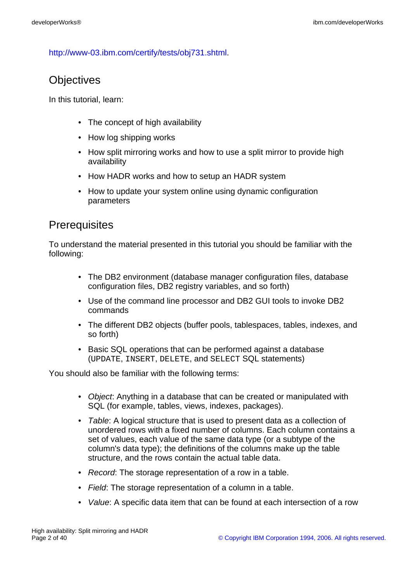<http://www-03.ibm.com/certify/tests/obj731.shtml>.

### **Objectives**

In this tutorial, learn:

- The concept of high availability
- How log shipping works
- How split mirroring works and how to use a split mirror to provide high availability
- How HADR works and how to setup an HADR system
- How to update your system online using dynamic configuration parameters

### **Prerequisites**

To understand the material presented in this tutorial you should be familiar with the following:

- The DB2 environment (database manager configuration files, database configuration files, DB2 registry variables, and so forth)
- Use of the command line processor and DB2 GUI tools to invoke DB2 commands
- The different DB2 objects (buffer pools, tablespaces, tables, indexes, and so forth)
- Basic SQL operations that can be performed against a database (UPDATE, INSERT, DELETE, and SELECT SQL statements)

You should also be familiar with the following terms:

- Object: Anything in a database that can be created or manipulated with SQL (for example, tables, views, indexes, packages).
- Table: A logical structure that is used to present data as a collection of unordered rows with a fixed number of columns. Each column contains a set of values, each value of the same data type (or a subtype of the column's data type); the definitions of the columns make up the table structure, and the rows contain the actual table data.
- Record: The storage representation of a row in a table.
- Field: The storage representation of a column in a table.
- Value: A specific data item that can be found at each intersection of a row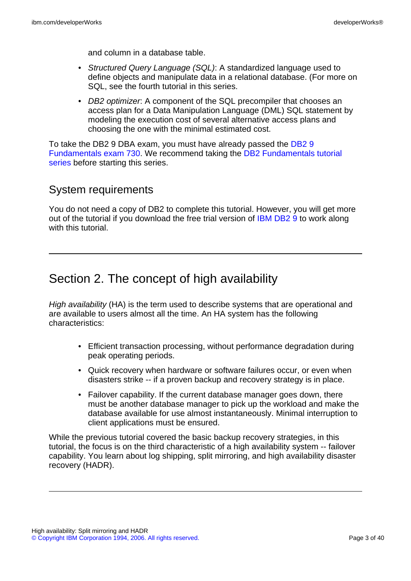and column in a database table.

- Structured Query Language (SQL): A standardized language used to define objects and manipulate data in a relational database. (For more on SQL, see the fourth tutorial in this series.
- DB2 optimizer: A component of the SQL precompiler that chooses an access plan for a Data Manipulation Language (DML) SQL statement by modeling the execution cost of several alternative access plans and choosing the one with the minimal estimated cost.

To take the DB2 9 DBA exam, you must have already passed the [DB2 9](http://www-03.ibm.com/certify/tests/test_index.shtml) [Fundamentals exam 730.](http://www-03.ibm.com/certify/tests/test_index.shtml) We recommend taking the [DB2 Fundamentals tutorial](http://www.ibm.com/developerworks/offers/lp/db2cert/db2-cert730.html?S_TACT=105AGX19&S_CMP=db2cert) [series](http://www.ibm.com/developerworks/offers/lp/db2cert/db2-cert730.html?S_TACT=105AGX19&S_CMP=db2cert) before starting this series.

### System requirements

You do not need a copy of DB2 to complete this tutorial. However, you will get more out of the tutorial if you download the free trial version of [IBM DB2 9](http://www.ibm.com/developerworks/downloads/im/udb/?S_TACT=105AGX19&S_CMP=db2cert) to work along with this tutorial.

# Section 2. The concept of high availability

High availability (HA) is the term used to describe systems that are operational and are available to users almost all the time. An HA system has the following characteristics:

- Efficient transaction processing, without performance degradation during peak operating periods.
- Quick recovery when hardware or software failures occur, or even when disasters strike -- if a proven backup and recovery strategy is in place.
- Failover capability. If the current database manager goes down, there must be another database manager to pick up the workload and make the database available for use almost instantaneously. Minimal interruption to client applications must be ensured.

While the previous tutorial covered the basic backup recovery strategies, in this tutorial, the focus is on the third characteristic of a high availability system -- failover capability. You learn about log shipping, split mirroring, and high availability disaster recovery (HADR).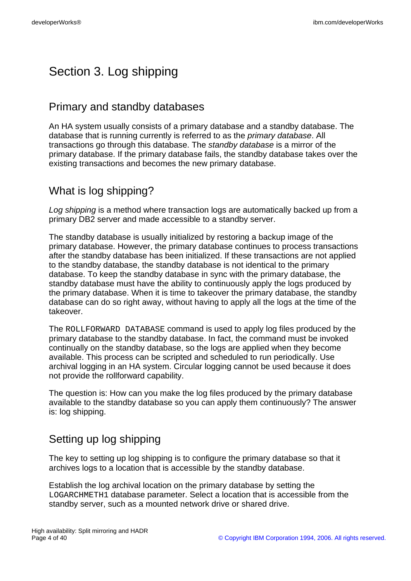# Section 3. Log shipping

## Primary and standby databases

An HA system usually consists of a primary database and a standby database. The database that is running currently is referred to as the primary database. All transactions go through this database. The standby database is a mirror of the primary database. If the primary database fails, the standby database takes over the existing transactions and becomes the new primary database.

## What is log shipping?

Log shipping is a method where transaction logs are automatically backed up from a primary DB2 server and made accessible to a standby server.

The standby database is usually initialized by restoring a backup image of the primary database. However, the primary database continues to process transactions after the standby database has been initialized. If these transactions are not applied to the standby database, the standby database is not identical to the primary database. To keep the standby database in sync with the primary database, the standby database must have the ability to continuously apply the logs produced by the primary database. When it is time to takeover the primary database, the standby database can do so right away, without having to apply all the logs at the time of the takeover.

The ROLLFORWARD DATABASE command is used to apply log files produced by the primary database to the standby database. In fact, the command must be invoked continually on the standby database, so the logs are applied when they become available. This process can be scripted and scheduled to run periodically. Use archival logging in an HA system. Circular logging cannot be used because it does not provide the rollforward capability.

The question is: How can you make the log files produced by the primary database available to the standby database so you can apply them continuously? The answer is: log shipping.

# Setting up log shipping

The key to setting up log shipping is to configure the primary database so that it archives logs to a location that is accessible by the standby database.

Establish the log archival location on the primary database by setting the LOGARCHMETH1 database parameter. Select a location that is accessible from the standby server, such as a mounted network drive or shared drive.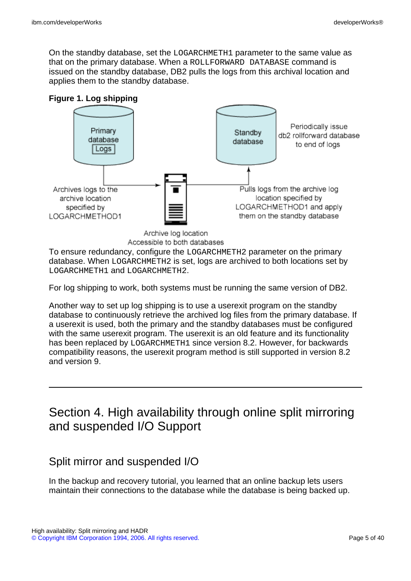On the standby database, set the LOGARCHMETH1 parameter to the same value as that on the primary database. When a ROLLFORWARD DATABASE command is issued on the standby database, DB2 pulls the logs from this archival location and applies them to the standby database.

#### **Figure 1. Log shipping**



Accessible to both databases

To ensure redundancy, configure the LOGARCHMETH2 parameter on the primary database. When LOGARCHMETH2 is set, logs are archived to both locations set by LOGARCHMETH1 and LOGARCHMETH2.

For log shipping to work, both systems must be running the same version of DB2.

Another way to set up log shipping is to use a userexit program on the standby database to continuously retrieve the archived log files from the primary database. If a userexit is used, both the primary and the standby databases must be configured with the same userexit program. The userexit is an old feature and its functionality has been replaced by LOGARCHMETH1 since version 8.2. However, for backwards compatibility reasons, the userexit program method is still supported in version 8.2 and version 9.

# Section 4. High availability through online split mirroring and suspended I/O Support

### Split mirror and suspended I/O

In the backup and recovery tutorial, you learned that an online backup lets users maintain their connections to the database while the database is being backed up.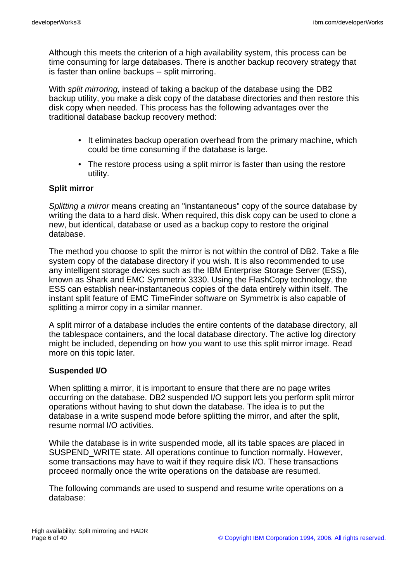Although this meets the criterion of a high availability system, this process can be time consuming for large databases. There is another backup recovery strategy that is faster than online backups -- split mirroring.

With split mirroring, instead of taking a backup of the database using the DB2 backup utility, you make a disk copy of the database directories and then restore this disk copy when needed. This process has the following advantages over the traditional database backup recovery method:

- It eliminates backup operation overhead from the primary machine, which could be time consuming if the database is large.
- The restore process using a split mirror is faster than using the restore utility.

#### **Split mirror**

Splitting a mirror means creating an "instantaneous" copy of the source database by writing the data to a hard disk. When required, this disk copy can be used to clone a new, but identical, database or used as a backup copy to restore the original database.

The method you choose to split the mirror is not within the control of DB2. Take a file system copy of the database directory if you wish. It is also recommended to use any intelligent storage devices such as the IBM Enterprise Storage Server (ESS), known as Shark and EMC Symmetrix 3330. Using the FlashCopy technology, the ESS can establish near-instantaneous copies of the data entirely within itself. The instant split feature of EMC TimeFinder software on Symmetrix is also capable of splitting a mirror copy in a similar manner.

A split mirror of a database includes the entire contents of the database directory, all the tablespace containers, and the local database directory. The active log directory might be included, depending on how you want to use this split mirror image. Read more on this topic later.

#### **Suspended I/O**

When splitting a mirror, it is important to ensure that there are no page writes occurring on the database. DB2 suspended I/O support lets you perform split mirror operations without having to shut down the database. The idea is to put the database in a write suspend mode before splitting the mirror, and after the split, resume normal I/O activities.

While the database is in write suspended mode, all its table spaces are placed in SUSPEND WRITE state. All operations continue to function normally. However, some transactions may have to wait if they require disk I/O. These transactions proceed normally once the write operations on the database are resumed.

The following commands are used to suspend and resume write operations on a database: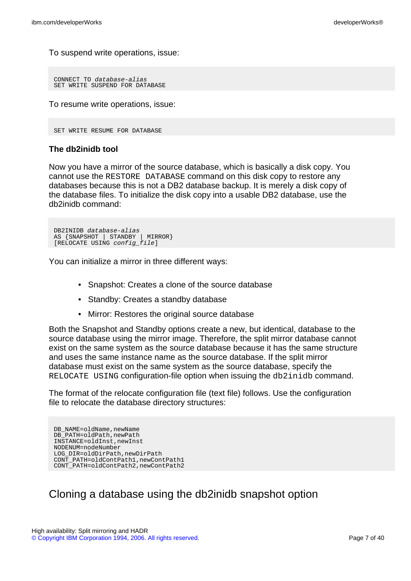To suspend write operations, issue:

```
CONNECT TO database-alias
SET WRITE SUSPEND FOR DATABASE
```
To resume write operations, issue:

```
SET WRITE RESUME FOR DATABASE
```
#### **The db2inidb tool**

Now you have a mirror of the source database, which is basically a disk copy. You cannot use the RESTORE DATABASE command on this disk copy to restore any databases because this is not a DB2 database backup. It is merely a disk copy of the database files. To initialize the disk copy into a usable DB2 database, use the db2inidb command:

```
DB2INIDB database-alias
AS {SNAPSHOT | STANDBY | MIRROR}
[RELOCATE USING config_file]
```
You can initialize a mirror in three different ways:

- Snapshot: Creates a clone of the source database
- Standby: Creates a standby database
- Mirror: Restores the original source database

Both the Snapshot and Standby options create a new, but identical, database to the source database using the mirror image. Therefore, the split mirror database cannot exist on the same system as the source database because it has the same structure and uses the same instance name as the source database. If the split mirror database must exist on the same system as the source database, specify the RELOCATE USING configuration-file option when issuing the db2inidb command.

The format of the relocate configuration file (text file) follows. Use the configuration file to relocate the database directory structures:

DB\_NAME=oldName, newName DB\_PATH=oldPath,newPath INSTANCE=oldInst,newInst NODENUM=nodeNumber LOG\_DIR=oldDirPath,newDirPath CONT\_PATH=oldContPath1,newContPath1 CONT\_PATH=oldContPath2,newContPath2

## Cloning a database using the db2inidb snapshot option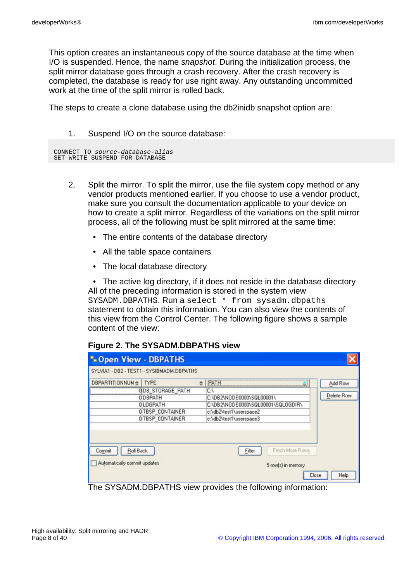This option creates an instantaneous copy of the source database at the time when I/O is suspended. Hence, the name snapshot. During the initialization process, the split mirror database goes through a crash recovery. After the crash recovery is completed, the database is ready for use right away. Any outstanding uncommitted work at the time of the split mirror is rolled back.

The steps to create a clone database using the db2inidb snapshot option are:

#### 1. Suspend I/O on the source database:

|  | CONNECT TO source-database-alias |  |  |
|--|----------------------------------|--|--|
|  | SET WRITE SUSPEND FOR DATABASE   |  |  |

- 2. Split the mirror. To split the mirror, use the file system copy method or any vendor products mentioned earlier. If you choose to use a vendor product, make sure you consult the documentation applicable to your device on how to create a split mirror. Regardless of the variations on the split mirror process, all of the following must be split mirrored at the same time:
	- The entire contents of the database directory
	- All the table space containers
	- The local database directory

• The active log directory, if it does not reside in the database directory All of the preceding information is stored in the system view SYSADM.DBPATHS. Run a select \* from sysadm.dbpaths statement to obtain this information. You can also view the contents of this view from the Control Center. The following figure shows a sample content of the view:

#### **Figure 2. The SYSADM.DBPATHS view**

| * Open View - DBPATHS        |                                           |   |                                    |            |
|------------------------------|-------------------------------------------|---|------------------------------------|------------|
|                              | SYLVIA1 - DB2 - TEST1 - SYSIBMADM.DBPATHS |   |                                    |            |
| DBPARTITIONNUMe   TYPE       |                                           | 숍 | PATH<br>吏                          | Add Row    |
|                              | <b>GIDB STORAGE PATH</b>                  |   | C١                                 |            |
|                              | <b>ODBPATH</b>                            |   | C:\DB2\NODE0000\SQL00001\          | Delete Row |
|                              | <b>OLOGPATH</b>                           |   | C:\DB2\NODE0000\SQL00001\SQL0GDIR\ |            |
|                              | 0 TBSP_CONTAINER                          |   | c:\db2\test1\userspace2            |            |
|                              | 0 TBSP CONTAINER                          |   | c:\db2\test1\userspace3            |            |
| Roll Back<br>Commit          |                                           |   | Fetch More Rows<br>Filter          |            |
| Automatically commit updates |                                           |   | 5 row(s) in memory<br>Close        | Help       |

The SYSADM.DBPATHS view provides the following information: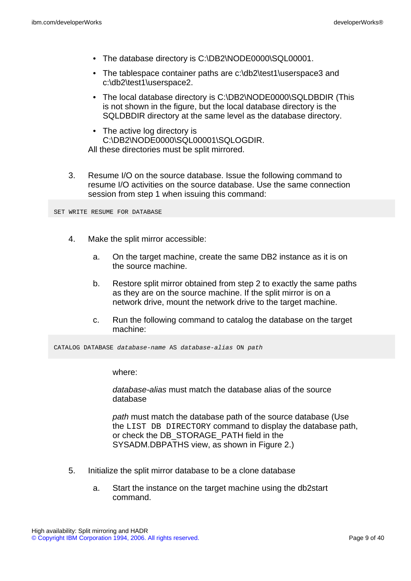- The database directory is C:\DB2\NODE0000\SQL00001.
- The tablespace container paths are c:\db2\test1\userspace3 and c:\db2\test1\userspace2.
- The local database directory is C:\DB2\NODE0000\SQLDBDIR (This is not shown in the figure, but the local database directory is the SQLDBDIR directory at the same level as the database directory.
- The active log directory is C:\DB2\NODE0000\SQL00001\SQLOGDIR. All these directories must be split mirrored.
- 3. Resume I/O on the source database. Issue the following command to resume I/O activities on the source database. Use the same connection session from step 1 when issuing this command:

SET WRITE RESUME FOR DATABASE

- 4. Make the split mirror accessible:
	- a. On the target machine, create the same DB2 instance as it is on the source machine.
	- b. Restore split mirror obtained from step 2 to exactly the same paths as they are on the source machine. If the split mirror is on a network drive, mount the network drive to the target machine.
	- c. Run the following command to catalog the database on the target machine:

CATALOG DATABASE database-name AS database-alias ON path

where:

database-alias must match the database alias of the source database

path must match the database path of the source database (Use the LIST DB DIRECTORY command to display the database path, or check the DB\_STORAGE\_PATH field in the SYSADM.DBPATHS view, as shown in Figure 2.)

- 5. Initialize the split mirror database to be a clone database
	- a. Start the instance on the target machine using the db2start command.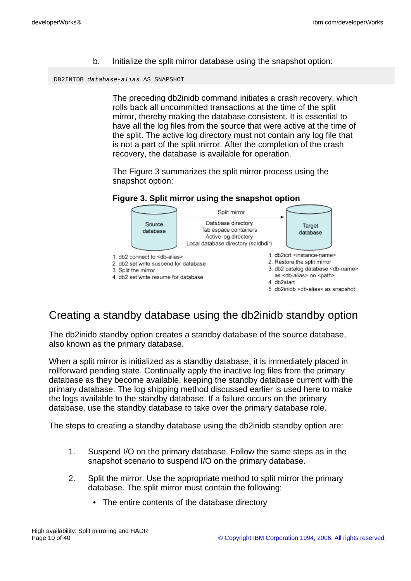b. Initialize the split mirror database using the snapshot option:

DB2INIDB database-alias AS SNAPSHOT

The preceding db2inidb command initiates a crash recovery, which rolls back all uncommitted transactions at the time of the split mirror, thereby making the database consistent. It is essential to have all the log files from the source that were active at the time of the split. The active log directory must not contain any log file that is not a part of the split mirror. After the completion of the crash recovery, the database is available for operation.

The Figure 3 summarizes the split mirror process using the snapshot option:

#### **Figure 3. Split mirror using the snapshot option**



## Creating a standby database using the db2inidb standby option

The db2inidb standby option creates a standby database of the source database, also known as the primary database.

When a split mirror is initialized as a standby database, it is immediately placed in rollforward pending state. Continually apply the inactive log files from the primary database as they become available, keeping the standby database current with the primary database. The log shipping method discussed earlier is used here to make the logs available to the standby database. If a failure occurs on the primary database, use the standby database to take over the primary database role.

The steps to creating a standby database using the db2inidb standby option are:

- 1. Suspend I/O on the primary database. Follow the same steps as in the snapshot scenario to suspend I/O on the primary database.
- 2. Split the mirror. Use the appropriate method to split mirror the primary database. The split mirror must contain the following:
	- The entire contents of the database directory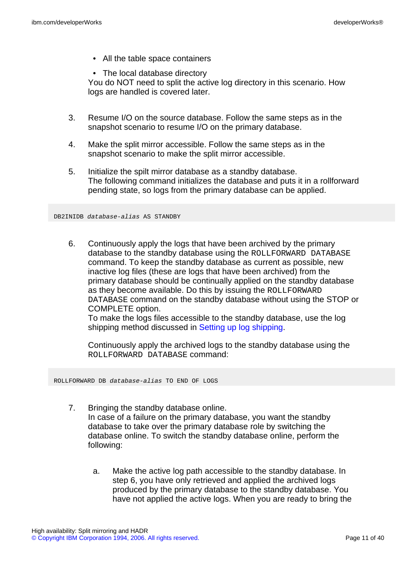- All the table space containers
- The local database directory

You do NOT need to split the active log directory in this scenario. How logs are handled is covered later.

- 3. Resume I/O on the source database. Follow the same steps as in the snapshot scenario to resume I/O on the primary database.
- 4. Make the split mirror accessible. Follow the same steps as in the snapshot scenario to make the split mirror accessible.
- 5. Initialize the spilt mirror database as a standby database. The following command initializes the database and puts it in a rollforward pending state, so logs from the primary database can be applied.

#### DB2INIDB database-alias AS STANDBY

6. Continuously apply the logs that have been archived by the primary database to the standby database using the ROLLFORWARD DATABASE command. To keep the standby database as current as possible, new inactive log files (these are logs that have been archived) from the primary database should be continually applied on the standby database as they become available. Do this by issuing the ROLLFORWARD DATABASE command on the standby database without using the STOP or COMPLETE option.

To make the logs files accessible to the standby database, use the log shipping method discussed in [Setting up log shipping.](setuplog)

Continuously apply the archived logs to the standby database using the ROLLFORWARD DATABASE command:

ROLLFORWARD DB database-alias TO END OF LOGS

- 7. Bringing the standby database online. In case of a failure on the primary database, you want the standby database to take over the primary database role by switching the database online. To switch the standby database online, perform the following:
	- a. Make the active log path accessible to the standby database. In step 6, you have only retrieved and applied the archived logs produced by the primary database to the standby database. You have not applied the active logs. When you are ready to bring the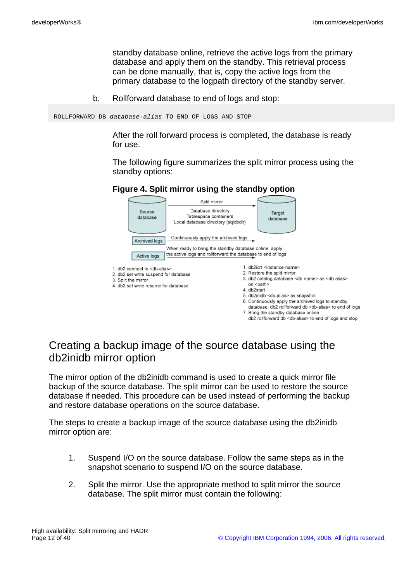standby database online, retrieve the active logs from the primary database and apply them on the standby. This retrieval process can be done manually, that is, copy the active logs from the primary database to the logpath directory of the standby server.

b. Rollforward database to end of logs and stop:

ROLLFORWARD DB database-alias TO END OF LOGS AND STOP

After the roll forward process is completed, the database is ready for use.

The following figure summarizes the split mirror process using the standby options:

#### **Figure 4. Split mirror using the standby option**



7. Bring the standby database online

db2 rollforward db <db-alias> to end of logs and stop

## Creating a backup image of the source database using the db2inidb mirror option

The mirror option of the db2inidb command is used to create a quick mirror file backup of the source database. The split mirror can be used to restore the source database if needed. This procedure can be used instead of performing the backup and restore database operations on the source database.

The steps to create a backup image of the source database using the db2inidb mirror option are:

- 1. Suspend I/O on the source database. Follow the same steps as in the snapshot scenario to suspend I/O on the source database.
- 2. Split the mirror. Use the appropriate method to split mirror the source database. The split mirror must contain the following: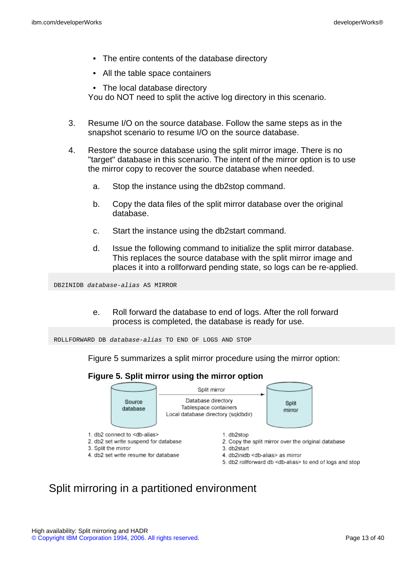- The entire contents of the database directory
- All the table space containers
- The local database directory You do NOT need to split the active log directory in this scenario.
- 3. Resume I/O on the source database. Follow the same steps as in the snapshot scenario to resume I/O on the source database.
- 4. Restore the source database using the split mirror image. There is no "target" database in this scenario. The intent of the mirror option is to use the mirror copy to recover the source database when needed.
	- a. Stop the instance using the db2stop command.
	- b. Copy the data files of the split mirror database over the original database.
	- c. Start the instance using the db2start command.
	- d. Issue the following command to initialize the split mirror database. This replaces the source database with the split mirror image and places it into a rollforward pending state, so logs can be re-applied.

DB2INIDB database-alias AS MIRROR

e. Roll forward the database to end of logs. After the roll forward process is completed, the database is ready for use.

ROLLFORWARD DB database-alias TO END OF LOGS AND STOP

Figure 5 summarizes a split mirror procedure using the mirror option:

#### **Figure 5. Split mirror using the mirror option**



## Split mirroring in a partitioned environment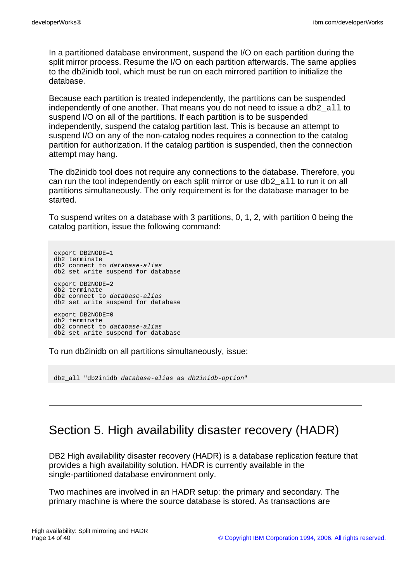In a partitioned database environment, suspend the I/O on each partition during the split mirror process. Resume the I/O on each partition afterwards. The same applies to the db2inidb tool, which must be run on each mirrored partition to initialize the database.

Because each partition is treated independently, the partitions can be suspended independently of one another. That means you do not need to issue a  $db2$  all to suspend I/O on all of the partitions. If each partition is to be suspended independently, suspend the catalog partition last. This is because an attempt to suspend I/O on any of the non-catalog nodes requires a connection to the catalog partition for authorization. If the catalog partition is suspended, then the connection attempt may hang.

The db2inidb tool does not require any connections to the database. Therefore, you can run the tool independently on each split mirror or use  $db2$  all to run it on all partitions simultaneously. The only requirement is for the database manager to be started.

To suspend writes on a database with 3 partitions, 0, 1, 2, with partition 0 being the catalog partition, issue the following command:

export DB2NODE=1 db2 terminate db2 connect to database-alias db2 set write suspend for database export DB2NODE=2 db2 terminate db2 connect to database-alias db2 set write suspend for database export DB2NODE=0 db2 terminate db2 connect to database-alias db2 set write suspend for database

To run db2inidb on all partitions simultaneously, issue:

db2\_all "db2inidb database-alias as db2inidb-option"

# Section 5. High availability disaster recovery (HADR)

DB2 High availability disaster recovery (HADR) is a database replication feature that provides a high availability solution. HADR is currently available in the single-partitioned database environment only.

Two machines are involved in an HADR setup: the primary and secondary. The primary machine is where the source database is stored. As transactions are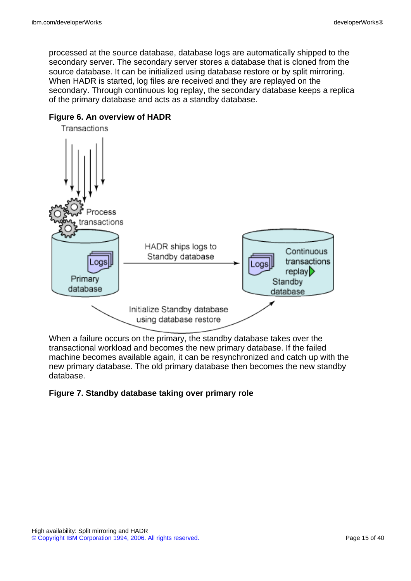processed at the source database, database logs are automatically shipped to the secondary server. The secondary server stores a database that is cloned from the source database. It can be initialized using database restore or by split mirroring. When HADR is started, log files are received and they are replayed on the secondary. Through continuous log replay, the secondary database keeps a replica of the primary database and acts as a standby database.



#### **Figure 6. An overview of HADR**

When a failure occurs on the primary, the standby database takes over the transactional workload and becomes the new primary database. If the failed machine becomes available again, it can be resynchronized and catch up with the new primary database. The old primary database then becomes the new standby database.

#### **Figure 7. Standby database taking over primary role**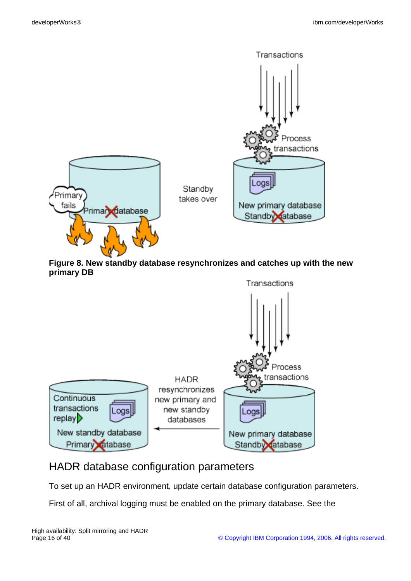

**Figure 8. New standby database resynchronizes and catches up with the new primary DB**



## HADR database configuration parameters

To set up an HADR environment, update certain database configuration parameters.

First of all, archival logging must be enabled on the primary database. See the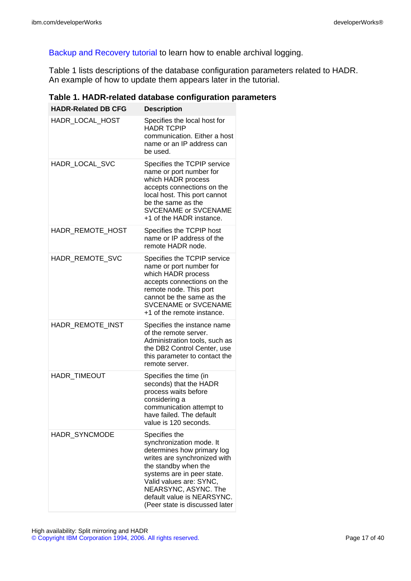[Backup and Recovery tutorial](http://www.ibm.com/developerworks/offers/lp/db2cert/db2-cert731.html?S_TACT=105AGX19&S_CMP=db2cert) to learn how to enable archival logging.

Table 1 lists descriptions of the database configuration parameters related to HADR. An example of how to update them appears later in the tutorial.

| <b>HADR-Related DB CFG</b> | <b>Description</b>                                                                                                                                                                                                                                                               |
|----------------------------|----------------------------------------------------------------------------------------------------------------------------------------------------------------------------------------------------------------------------------------------------------------------------------|
| HADR_LOCAL_HOST            | Specifies the local host for<br><b>HADR TCPIP</b><br>communication. Either a host<br>name or an IP address can<br>be used.                                                                                                                                                       |
| HADR LOCAL SVC             | Specifies the TCPIP service<br>name or port number for<br>which HADR process<br>accepts connections on the<br>local host. This port cannot<br>be the same as the<br><b>SVCENAME or SVCENAME</b><br>+1 of the HADR instance.                                                      |
| HADR_REMOTE_HOST           | Specifies the TCPIP host<br>name or IP address of the<br>remote HADR node.                                                                                                                                                                                                       |
| HADR REMOTE SVC            | Specifies the TCPIP service<br>name or port number for<br>which HADR process<br>accepts connections on the<br>remote node. This port<br>cannot be the same as the<br><b>SVCENAME or SVCENAME</b><br>+1 of the remote instance.                                                   |
| HADR_REMOTE_INST           | Specifies the instance name<br>of the remote server.<br>Administration tools, such as<br>the DB2 Control Center, use<br>this parameter to contact the<br>remote server.                                                                                                          |
| HADR_TIMEOUT               | Specifies the time (in<br>seconds) that the HADR<br>process waits before<br>considering a<br>communication attempt to<br>have failed. The default<br>value is 120 seconds.                                                                                                       |
| <b>HADR SYNCMODE</b>       | Specifies the<br>synchronization mode. It<br>determines how primary log<br>writes are synchronized with<br>the standby when the<br>systems are in peer state.<br>Valid values are: SYNC,<br>NEARSYNC, ASYNC. The<br>default value is NEARSYNC.<br>(Peer state is discussed later |

**Table 1. HADR-related database configuration parameters**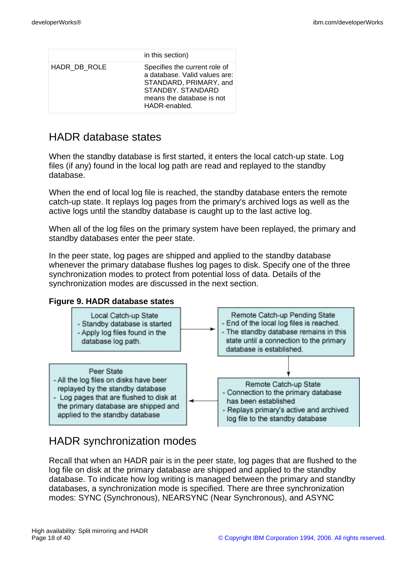|              | in this section)                                                                                                                                           |
|--------------|------------------------------------------------------------------------------------------------------------------------------------------------------------|
| HADR_DB_ROLE | Specifies the current role of<br>a database. Valid values are:<br>STANDARD, PRIMARY, and<br>STANDBY STANDARD<br>means the database is not<br>HADR-enabled. |

## HADR database states

When the standby database is first started, it enters the local catch-up state. Log files (if any) found in the local log path are read and replayed to the standby database.

When the end of local log file is reached, the standby database enters the remote catch-up state. It replays log pages from the primary's archived logs as well as the active logs until the standby database is caught up to the last active log.

When all of the log files on the primary system have been replayed, the primary and standby databases enter the peer state.

In the peer state, log pages are shipped and applied to the standby database whenever the primary database flushes log pages to disk. Specify one of the three synchronization modes to protect from potential loss of data. Details of the synchronization modes are discussed in the next section.

#### **Figure 9. HADR database states**



## HADR synchronization modes

Recall that when an HADR pair is in the peer state, log pages that are flushed to the log file on disk at the primary database are shipped and applied to the standby database. To indicate how log writing is managed between the primary and standby databases, a synchronization mode is specified. There are three synchronization modes: SYNC (Synchronous), NEARSYNC (Near Synchronous), and ASYNC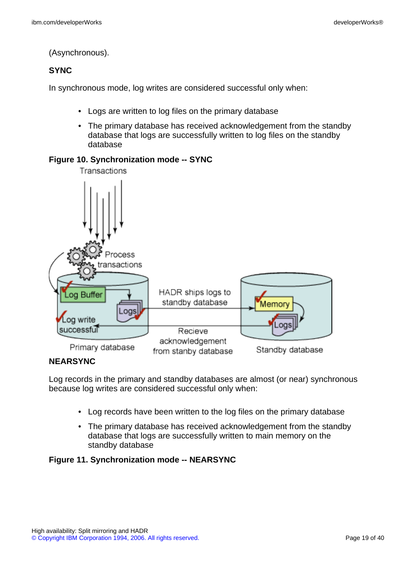(Asynchronous).

#### **SYNC**

In synchronous mode, log writes are considered successful only when:

- Logs are written to log files on the primary database
- The primary database has received acknowledgement from the standby database that logs are successfully written to log files on the standby database

#### **Figure 10. Synchronization mode -- SYNC**



#### **NEARSYNC**

Log records in the primary and standby databases are almost (or near) synchronous because log writes are considered successful only when:

- Log records have been written to the log files on the primary database
- The primary database has received acknowledgement from the standby database that logs are successfully written to main memory on the standby database

#### **Figure 11. Synchronization mode -- NEARSYNC**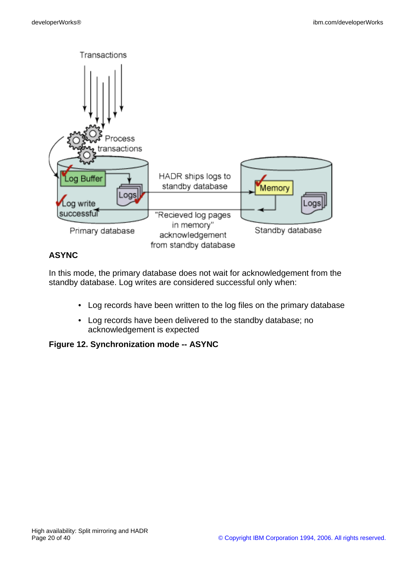

### **ASYNC**

In this mode, the primary database does not wait for acknowledgement from the standby database. Log writes are considered successful only when:

- Log records have been written to the log files on the primary database
- Log records have been delivered to the standby database; no acknowledgement is expected

#### **Figure 12. Synchronization mode -- ASYNC**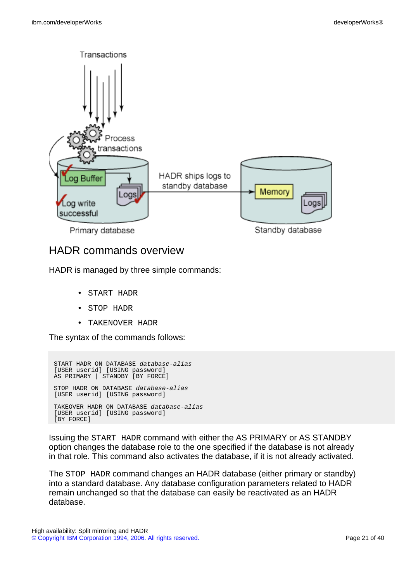

## HADR commands overview

HADR is managed by three simple commands:

- START HADR
- STOP HADR
- TAKENOVER HADR

The syntax of the commands follows:

```
START HADR ON DATABASE database-alias
[USER userid] [USING password]
AS PRIMARY | STANDBY [BY FORCE]
STOP HADR ON DATABASE database-alias
[USER userid] [USING password]
TAKEOVER HADR ON DATABASE database-alias
[USER userid] [USING password]
[BY FORCE]
```
Issuing the START HADR command with either the AS PRIMARY or AS STANDBY option changes the database role to the one specified if the database is not already in that role. This command also activates the database, if it is not already activated.

The STOP HADR command changes an HADR database (either primary or standby) into a standard database. Any database configuration parameters related to HADR remain unchanged so that the database can easily be reactivated as an HADR database.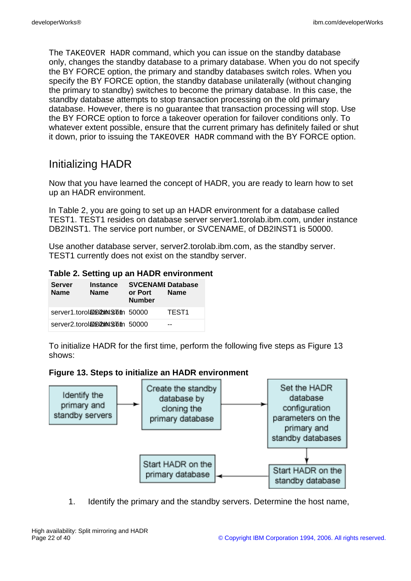The TAKEOVER HADR command, which you can issue on the standby database only, changes the standby database to a primary database. When you do not specify the BY FORCE option, the primary and standby databases switch roles. When you specify the BY FORCE option, the standby database unilaterally (without changing the primary to standby) switches to become the primary database. In this case, the standby database attempts to stop transaction processing on the old primary database. However, there is no guarantee that transaction processing will stop. Use the BY FORCE option to force a takeover operation for failover conditions only. To whatever extent possible, ensure that the current primary has definitely failed or shut it down, prior to issuing the TAKEOVER HADR command with the BY FORCE option.

## Initializing HADR

Now that you have learned the concept of HADR, you are ready to learn how to set up an HADR environment.

In Table 2, you are going to set up an HADR environment for a database called TEST1. TEST1 resides on database server server1.torolab.ibm.com, under instance DB2INST1. The service port number, or SVCENAME, of DB2INST1 is 50000.

Use another database server, server2.torolab.ibm.com, as the standby server. TEST1 currently does not exist on the standby server.

#### **Table 2. Setting up an HADR environment**

| <b>Server</b><br><b>Name</b> | <b>Instance</b><br><b>Name</b>   | <b>SVCENAMI Database</b><br>or Port<br><b>Number</b> | <b>Name</b>       |
|------------------------------|----------------------------------|------------------------------------------------------|-------------------|
|                              | server1.torola0biloml\$com 50000 |                                                      | TEST <sub>1</sub> |
|                              | server2.torola0biloml\$com 50000 |                                                      | --                |

To initialize HADR for the first time, perform the following five steps as Figure 13 shows:

#### **Figure 13. Steps to initialize an HADR environment**



1. Identify the primary and the standby servers. Determine the host name,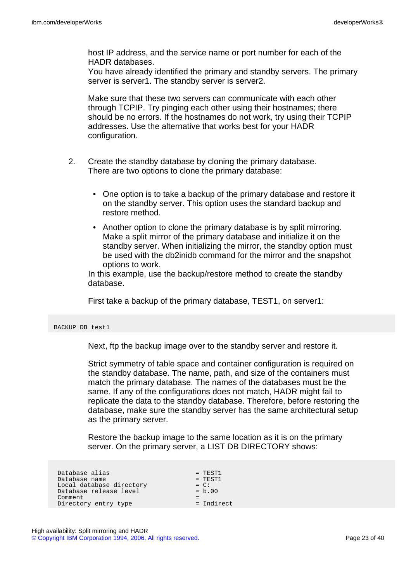host IP address, and the service name or port number for each of the HADR databases.

You have already identified the primary and standby servers. The primary server is server1. The standby server is server2.

Make sure that these two servers can communicate with each other through TCPIP. Try pinging each other using their hostnames; there should be no errors. If the hostnames do not work, try using their TCPIP addresses. Use the alternative that works best for your HADR configuration.

- 2. Create the standby database by cloning the primary database. There are two options to clone the primary database:
	- One option is to take a backup of the primary database and restore it on the standby server. This option uses the standard backup and restore method.
	- Another option to clone the primary database is by split mirroring. Make a split mirror of the primary database and initialize it on the standby server. When initializing the mirror, the standby option must be used with the db2inidb command for the mirror and the snapshot options to work.

In this example, use the backup/restore method to create the standby database.

First take a backup of the primary database, TEST1, on server1:

BACKUP DB test1

Next, ftp the backup image over to the standby server and restore it.

Strict symmetry of table space and container configuration is required on the standby database. The name, path, and size of the containers must match the primary database. The names of the databases must be the same. If any of the configurations does not match, HADR might fail to replicate the data to the standby database. Therefore, before restoring the database, make sure the standby server has the same architectural setup as the primary server.

Restore the backup image to the same location as it is on the primary server. On the primary server, a LIST DB DIRECTORY shows:

| Database alias           | $=$ TEST1    |
|--------------------------|--------------|
| Database name            | $=$ TEST1    |
| Local database directory | $= C$ :      |
| Database release level   | $= b.00$     |
| Comment                  |              |
| Directory entry type     | $= Indirect$ |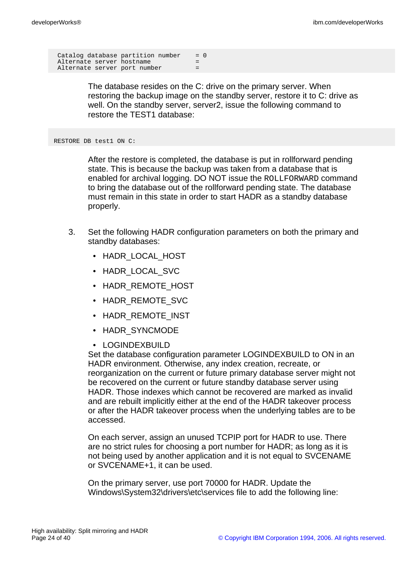Catalog database partition number  $= 0$ Alternate server hostname Alternate server port number =

> The database resides on the C: drive on the primary server. When restoring the backup image on the standby server, restore it to C: drive as well. On the standby server, server2, issue the following command to restore the TEST1 database:

RESTORE DB test1 ON C:

After the restore is completed, the database is put in rollforward pending state. This is because the backup was taken from a database that is enabled for archival logging. DO NOT issue the ROLLFORWARD command to bring the database out of the rollforward pending state. The database must remain in this state in order to start HADR as a standby database properly.

- 3. Set the following HADR configuration parameters on both the primary and standby databases:
	- HADR\_LOCAL\_HOST
	- HADR\_LOCAL\_SVC
	- HADR REMOTE HOST
	- HADR\_REMOTE\_SVC
	- HADR\_REMOTE\_INST
	- HADR\_SYNCMODE
	- LOGINDEXBUILD

Set the database configuration parameter LOGINDEXBUILD to ON in an HADR environment. Otherwise, any index creation, recreate, or reorganization on the current or future primary database server might not be recovered on the current or future standby database server using HADR. Those indexes which cannot be recovered are marked as invalid and are rebuilt implicitly either at the end of the HADR takeover process or after the HADR takeover process when the underlying tables are to be accessed.

On each server, assign an unused TCPIP port for HADR to use. There are no strict rules for choosing a port number for HADR; as long as it is not being used by another application and it is not equal to SVCENAME or SVCENAME+1, it can be used.

On the primary server, use port 70000 for HADR. Update the Windows\System32\drivers\etc\services file to add the following line: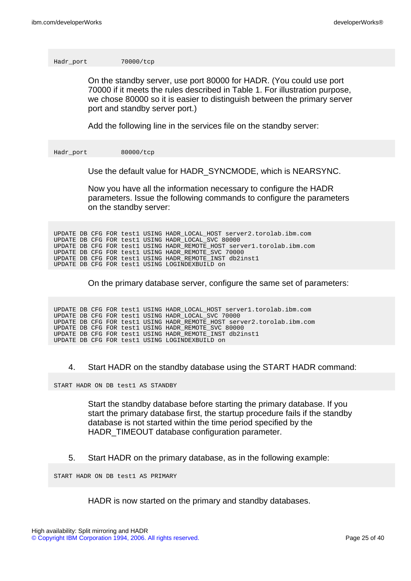Hadr\_port 70000/tcp

On the standby server, use port 80000 for HADR. (You could use port 70000 if it meets the rules described in Table 1. For illustration purpose, we chose 80000 so it is easier to distinguish between the primary server port and standby server port.)

Add the following line in the services file on the standby server:

Hadr\_port 80000/tcp

Use the default value for HADR\_SYNCMODE, which is NEARSYNC.

Now you have all the information necessary to configure the HADR parameters. Issue the following commands to configure the parameters on the standby server:

UPDATE DB CFG FOR test1 USING HADR\_LOCAL\_HOST server2.torolab.ibm.com UPDATE DB CFG FOR test1 USING HADR\_LOCAL\_SVC 80000 UPDATE DB CFG FOR test1 USING HADR\_REMOTE\_HOST server1.torolab.ibm.com UPDATE DB CFG FOR test1 USING HADR\_REMOTE\_SVC 70000 UPDATE DB CFG FOR test1 USING HADR\_REMOTE\_INST db2inst1 UPDATE DB CFG FOR test1 USING LOGINDEXBUILD on

On the primary database server, configure the same set of parameters:

UPDATE DB CFG FOR test1 USING HADR\_LOCAL\_HOST server1.torolab.ibm.com UPDATE DB CFG FOR test1 USING HADR\_LOCAL\_SVC 70000 UPDATE DB CFG FOR test1 USING HADR\_REMOTE\_HOST server2.torolab.ibm.com UPDATE DB CFG FOR test1 USING HADR\_REMOTE\_SVC 80000 UPDATE DB CFG FOR test1 USING HADR\_REMOTE\_INST db2inst1 UPDATE DB CFG FOR test1 USING LOGINDEXBUILD on

4. Start HADR on the standby database using the START HADR command:

START HADR ON DB test1 AS STANDBY

Start the standby database before starting the primary database. If you start the primary database first, the startup procedure fails if the standby database is not started within the time period specified by the HADR TIMEOUT database configuration parameter.

5. Start HADR on the primary database, as in the following example:

START HADR ON DB test1 AS PRIMARY

HADR is now started on the primary and standby databases.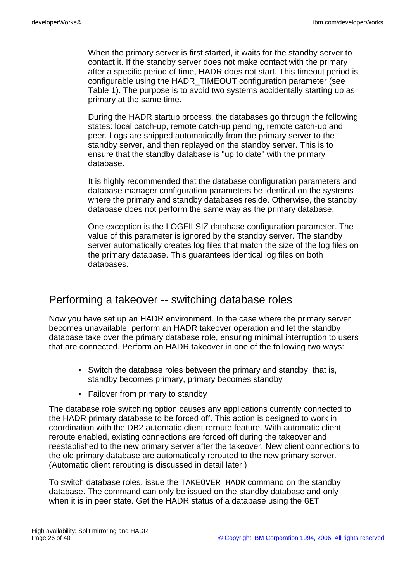When the primary server is first started, it waits for the standby server to contact it. If the standby server does not make contact with the primary after a specific period of time, HADR does not start. This timeout period is configurable using the HADR\_TIMEOUT configuration parameter (see Table 1). The purpose is to avoid two systems accidentally starting up as primary at the same time.

During the HADR startup process, the databases go through the following states: local catch-up, remote catch-up pending, remote catch-up and peer. Logs are shipped automatically from the primary server to the standby server, and then replayed on the standby server. This is to ensure that the standby database is "up to date" with the primary database.

It is highly recommended that the database configuration parameters and database manager configuration parameters be identical on the systems where the primary and standby databases reside. Otherwise, the standby database does not perform the same way as the primary database.

One exception is the LOGFILSIZ database configuration parameter. The value of this parameter is ignored by the standby server. The standby server automatically creates log files that match the size of the log files on the primary database. This guarantees identical log files on both databases.

### Performing a takeover -- switching database roles

Now you have set up an HADR environment. In the case where the primary server becomes unavailable, perform an HADR takeover operation and let the standby database take over the primary database role, ensuring minimal interruption to users that are connected. Perform an HADR takeover in one of the following two ways:

- Switch the database roles between the primary and standby, that is, standby becomes primary, primary becomes standby
- Failover from primary to standby

The database role switching option causes any applications currently connected to the HADR primary database to be forced off. This action is designed to work in coordination with the DB2 automatic client reroute feature. With automatic client reroute enabled, existing connections are forced off during the takeover and reestablished to the new primary server after the takeover. New client connections to the old primary database are automatically rerouted to the new primary server. (Automatic client rerouting is discussed in detail later.)

To switch database roles, issue the TAKEOVER HADR command on the standby database. The command can only be issued on the standby database and only when it is in peer state. Get the HADR status of a database using the GET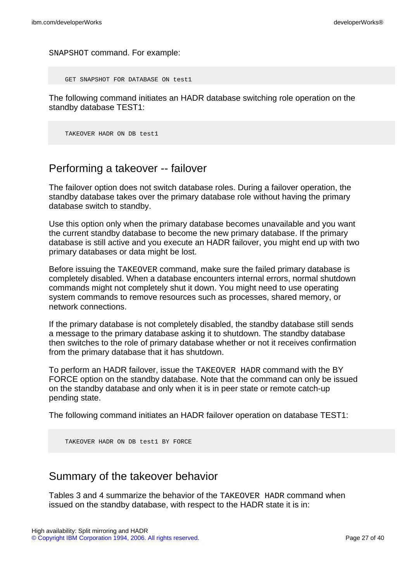SNAPSHOT command. For example:

GET SNAPSHOT FOR DATABASE ON test1

The following command initiates an HADR database switching role operation on the standby database TEST1:

TAKEOVER HADR ON DB test1

### Performing a takeover -- failover

The failover option does not switch database roles. During a failover operation, the standby database takes over the primary database role without having the primary database switch to standby.

Use this option only when the primary database becomes unavailable and you want the current standby database to become the new primary database. If the primary database is still active and you execute an HADR failover, you might end up with two primary databases or data might be lost.

Before issuing the TAKEOVER command, make sure the failed primary database is completely disabled. When a database encounters internal errors, normal shutdown commands might not completely shut it down. You might need to use operating system commands to remove resources such as processes, shared memory, or network connections.

If the primary database is not completely disabled, the standby database still sends a message to the primary database asking it to shutdown. The standby database then switches to the role of primary database whether or not it receives confirmation from the primary database that it has shutdown.

To perform an HADR failover, issue the TAKEOVER HADR command with the BY FORCE option on the standby database. Note that the command can only be issued on the standby database and only when it is in peer state or remote catch-up pending state.

The following command initiates an HADR failover operation on database TEST1:

TAKEOVER HADR ON DB test1 BY FORCE

### Summary of the takeover behavior

Tables 3 and 4 summarize the behavior of the TAKEOVER HADR command when issued on the standby database, with respect to the HADR state it is in: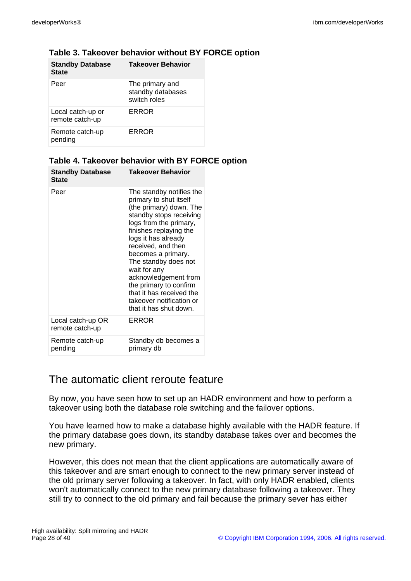| <b>Standby Database</b><br><b>State</b> | <b>Takeover Behavior</b>                             |
|-----------------------------------------|------------------------------------------------------|
| Peer                                    | The primary and<br>standby databases<br>switch roles |
| Local catch-up or<br>remote catch-up    | ERROR                                                |
| Remote catch-up<br>pending              | ERROR                                                |

#### **Table 3. Takeover behavior without BY FORCE option**

#### **Table 4. Takeover behavior with BY FORCE option**

| <b>Standby Database</b><br><b>State</b> | <b>Takeover Behavior</b>                                                                                                                                                                                                                                                                                                                                                                                    |
|-----------------------------------------|-------------------------------------------------------------------------------------------------------------------------------------------------------------------------------------------------------------------------------------------------------------------------------------------------------------------------------------------------------------------------------------------------------------|
| Peer                                    | The standby notifies the<br>primary to shut itself<br>(the primary) down. The<br>standby stops receiving<br>logs from the primary,<br>finishes replaying the<br>logs it has already<br>received, and then<br>becomes a primary.<br>The standby does not<br>wait for any<br>acknowledgement from<br>the primary to confirm<br>that it has received the<br>takeover notification or<br>that it has shut down. |
| Local catch-up OR<br>remote catch-up    | ERROR                                                                                                                                                                                                                                                                                                                                                                                                       |
| Remote catch-up<br>pending              | Standby db becomes a<br>primary db                                                                                                                                                                                                                                                                                                                                                                          |

## The automatic client reroute feature

By now, you have seen how to set up an HADR environment and how to perform a takeover using both the database role switching and the failover options.

You have learned how to make a database highly available with the HADR feature. If the primary database goes down, its standby database takes over and becomes the new primary.

However, this does not mean that the client applications are automatically aware of this takeover and are smart enough to connect to the new primary server instead of the old primary server following a takeover. In fact, with only HADR enabled, clients won't automatically connect to the new primary database following a takeover. They still try to connect to the old primary and fail because the primary sever has either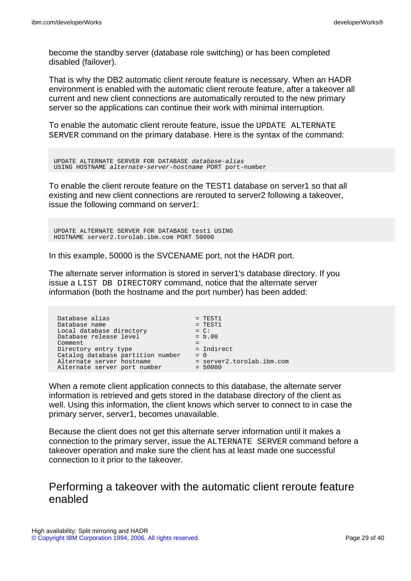become the standby server (database role switching) or has been completed disabled (failover).

That is why the DB2 automatic client reroute feature is necessary. When an HADR environment is enabled with the automatic client reroute feature, after a takeover all current and new client connections are automatically rerouted to the new primary server so the applications can continue their work with minimal interruption.

To enable the automatic client reroute feature, issue the UPDATE ALTERNATE SERVER command on the primary database. Here is the syntax of the command:

UPDATE ALTERNATE SERVER FOR DATABASE database-alias USING HOSTNAME alternate-server-hostname PORT port-number

To enable the client reroute feature on the TEST1 database on server1 so that all existing and new client connections are rerouted to server2 following a takeover, issue the following command on server1:

UPDATE ALTERNATE SERVER FOR DATABASE test1 USING HOSTNAME server2.torolab.ibm.com PORT 50000

In this example, 50000 is the SVCENAME port, not the HADR port.

The alternate server information is stored in server1's database directory. If you issue a LIST DB DIRECTORY command, notice that the alternate server information (both the hostname and the port number) has been added:

| Database alias                    | $=$ TEST1                 |  |
|-----------------------------------|---------------------------|--|
| Database name                     | $=$ TEST1                 |  |
| Local database directory          | $= C$ :                   |  |
| Database release level            | $= b.00$                  |  |
| Comment                           |                           |  |
| Directory entry type              | = Indirect                |  |
| Catalog database partition number | $= 0$                     |  |
| Alternate server hostname         | = server2.torolab.ibm.com |  |
| Alternate server port number      | $= 50000$                 |  |
|                                   |                           |  |

When a remote client application connects to this database, the alternate server information is retrieved and gets stored in the database directory of the client as well. Using this information, the client knows which server to connect to in case the primary server, server1, becomes unavailable.

Because the client does not get this alternate server information until it makes a connection to the primary server, issue the ALTERNATE SERVER command before a takeover operation and make sure the client has at least made one successful connection to it prior to the takeover.

## Performing a takeover with the automatic client reroute feature enabled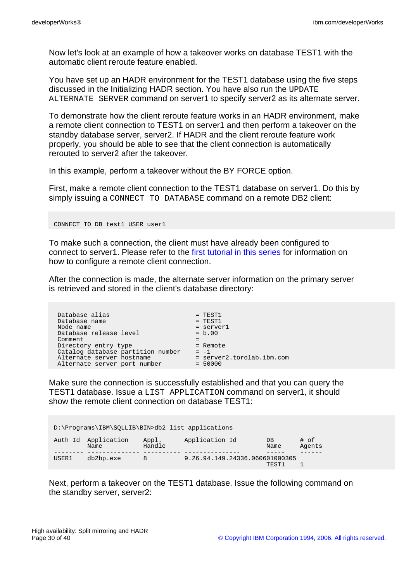Now let's look at an example of how a takeover works on database TEST1 with the automatic client reroute feature enabled.

You have set up an HADR environment for the TEST1 database using the five steps discussed in the Initializing HADR section. You have also run the UPDATE ALTERNATE SERVER command on server1 to specify server2 as its alternate server.

To demonstrate how the client reroute feature works in an HADR environment, make a remote client connection to TEST1 on server1 and then perform a takeover on the standby database server, server2. If HADR and the client reroute feature work properly, you should be able to see that the client connection is automatically rerouted to server2 after the takeover.

In this example, perform a takeover without the BY FORCE option.

First, make a remote client connection to the TEST1 database on server1. Do this by simply issuing a CONNECT TO DATABASE command on a remote DB2 client:

CONNECT TO DB test1 USER user1

To make such a connection, the client must have already been configured to connect to server1. Please refer to the [first tutorial in this series](http://www.ibm.com/developerworks/offers/lp/db2cert/db2-cert731.html?S_TACT=105AGX19&S_CMP=db2cert) for information on how to configure a remote client connection.

After the connection is made, the alternate server information on the primary server is retrieved and stored in the client's database directory:

| Database alias<br>Database name<br>Node name<br>Database release level<br>Comment<br>Directory entry type<br>Catalog database partition number<br>Alternate server hostname | $=$ TEST1<br>$=$ TEST1<br>= server1<br>$= b.00$<br>$=$ Remote<br>$= -1$<br>$=$ server2.torolab.ibm.com |
|-----------------------------------------------------------------------------------------------------------------------------------------------------------------------------|--------------------------------------------------------------------------------------------------------|
| Alternate server port number                                                                                                                                                | $= 50000$                                                                                              |
|                                                                                                                                                                             |                                                                                                        |

Make sure the connection is successfully established and that you can query the TEST1 database. Issue a LIST APPLICATION command on server1, it should show the remote client connection on database TEST1:

| D:\Programs\IBM\SOLLIB\BIN>db2 list applications |                             |                 |                                |             |                |  |
|--------------------------------------------------|-----------------------------|-----------------|--------------------------------|-------------|----------------|--|
|                                                  | Auth Id Application<br>Name | Appl.<br>Handle | Application Id                 | DB.<br>Name | # of<br>Agents |  |
|                                                  |                             |                 |                                |             |                |  |
| USER1                                            | db2bp.exe                   | 8               | 9.26.94.149.24336.060601000305 |             |                |  |
|                                                  |                             |                 |                                | TEST1       |                |  |

Next, perform a takeover on the TEST1 database. Issue the following command on the standby server, server2: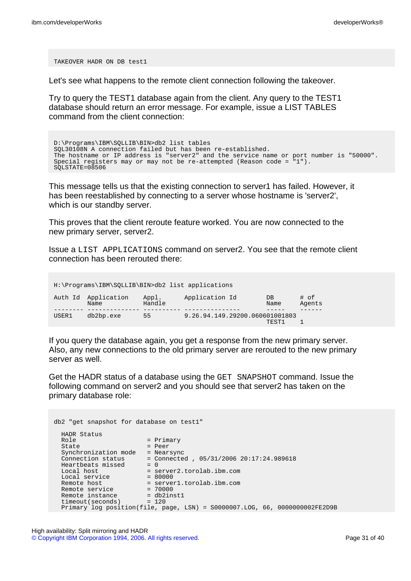TAKEOVER HADR ON DB test1

Let's see what happens to the remote client connection following the takeover.

Try to query the TEST1 database again from the client. Any query to the TEST1 database should return an error message. For example, issue a LIST TABLES command from the client connection:

D:\Programs\IBM\SQLLIB\BIN>db2 list tables SQL30108N A connection failed but has been re-established. The hostname or IP address is "server2" and the service name or port number is "50000". Special registers may or may not be re-attempted (Reason code = "1"). SQLSTATE=08506

This message tells us that the existing connection to server1 has failed. However, it has been reestablished by connecting to a server whose hostname is 'server2', which is our standby server.

This proves that the client reroute feature worked. You are now connected to the new primary server, server2.

Issue a LIST APPLICATIONS command on server2. You see that the remote client connection has been rerouted there:

H:\Programs\IBM\SQLLIB\BIN>db2 list applications

|       | Auth Id Application<br>Name | Appl.<br>Handle | Application Id                 | $DB$<br>Name | # of<br>Agents |
|-------|-----------------------------|-----------------|--------------------------------|--------------|----------------|
|       |                             |                 |                                |              |                |
| USER1 | db2bp.exe                   | 55              | 9.26.94.149.29200.060601001803 |              |                |
|       |                             |                 |                                | TEST1        |                |

If you query the database again, you get a response from the new primary server. Also, any new connections to the old primary server are rerouted to the new primary server as well.

Get the HADR status of a database using the GET SNAPSHOT command. Issue the following command on server2 and you should see that server2 has taken on the primary database role:

```
db2 "get snapshot for database on test1"
 HADR Status<br>Role
 Role = Primary
 State = Peer
 Synchronization mode = Nearsync
 Connection status = Connected , 05/31/2006 20:17:24.989618
 Heartbeats missed = 0
 Local host = server2.torolab.ibm.com
 Local service = 80000
 Remote host = server1.torolab.ibm.com
 Remote service = 70000
 Remote instance = db2inst1
 timeout(seconds) = 120
 Primary log position(file, page, LSN) = S0000007.LOG, 66, 0000000002FE2D9B
```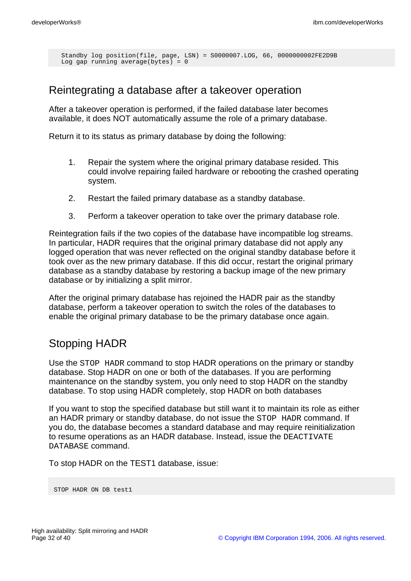```
Standby log position(file, page, LSN) = S0000007.LOG, 66, 0000000002FE2D9B
Log gap running average(bytes) = 0
```
### Reintegrating a database after a takeover operation

After a takeover operation is performed, if the failed database later becomes available, it does NOT automatically assume the role of a primary database.

Return it to its status as primary database by doing the following:

- 1. Repair the system where the original primary database resided. This could involve repairing failed hardware or rebooting the crashed operating system.
- 2. Restart the failed primary database as a standby database.
- 3. Perform a takeover operation to take over the primary database role.

Reintegration fails if the two copies of the database have incompatible log streams. In particular, HADR requires that the original primary database did not apply any logged operation that was never reflected on the original standby database before it took over as the new primary database. If this did occur, restart the original primary database as a standby database by restoring a backup image of the new primary database or by initializing a split mirror.

After the original primary database has rejoined the HADR pair as the standby database, perform a takeover operation to switch the roles of the databases to enable the original primary database to be the primary database once again.

### Stopping HADR

Use the STOP HADR command to stop HADR operations on the primary or standby database. Stop HADR on one or both of the databases. If you are performing maintenance on the standby system, you only need to stop HADR on the standby database. To stop using HADR completely, stop HADR on both databases

If you want to stop the specified database but still want it to maintain its role as either an HADR primary or standby database, do not issue the STOP HADR command. If you do, the database becomes a standard database and may require reinitialization to resume operations as an HADR database. Instead, issue the DEACTIVATE DATABASE command.

To stop HADR on the TEST1 database, issue:

STOP HADR ON DB test1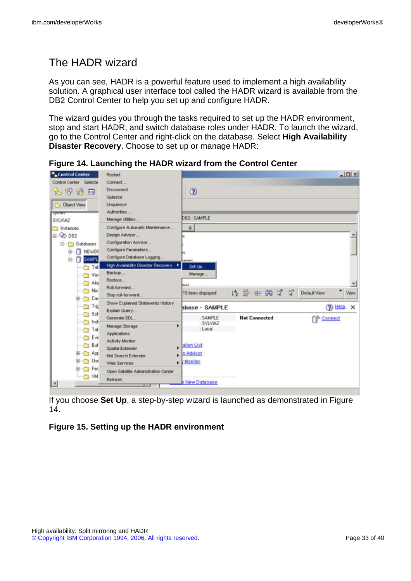# The HADR wizard

As you can see, HADR is a powerful feature used to implement a high availability solution. A graphical user interface tool called the HADR wizard is available from the DB2 Control Center to help you set up and configure HADR.

The wizard guides you through the tasks required to set up the HADR environment, stop and start HADR, and switch database roles under HADR. To launch the wizard, go to the Control Center and right-click on the database. Select **High Availability Disaster Recovery**. Choose to set up or manage HADR:

| ". Control Center              | Restart                                            |                       |                      | $-10X$                           |
|--------------------------------|----------------------------------------------------|-----------------------|----------------------|----------------------------------|
| Control Center Selecte<br>もみな口 | Connect<br><b>Disconnect</b><br>Quiesce            | $^{\circ}$            |                      |                                  |
| <b>C</b> Object View           | Unquiesce<br>Authorities                           |                       |                      |                                  |
| туктат<br>SYLVIA2              | Manage Utilities                                   | DB2 - SAMPLE          |                      |                                  |
| Instances                      | Configure Automatic Maintenance                    | $\div$                |                      |                                  |
| 白 号 DB2                        | Design Advisor                                     | I÷                    |                      |                                  |
| B-C Databases                  | Configuration Advisor                              |                       |                      |                                  |
| NEWDE<br>田                     | Configure Parameters                               | bs                    |                      |                                  |
| п<br><b>SAMPL</b><br>8         | Configure Database Logging                         | <b>Mones</b>          |                      |                                  |
| Tat                            | High Availability Disaster Recovery                | Set Up                |                      |                                  |
| Vie                            | Backup                                             | Manage                |                      |                                  |
| Alia                           | Restore                                            | <b>POJet</b>          |                      |                                  |
| <b>Nic</b>                     | Roll-forward<br>Stop roll-forward                  | 15 items displayed    | 修築而開房层               | ٠<br><b>Default View</b><br>View |
| Cac<br>œ<br>Tric               | Show Explained Statements History<br>Explain Query | bbase - SAMPLE        | (?) Help<br>$\times$ |                                  |
| Sch<br>Indi                    | Generate DDL                                       | : SAMPLE              | <b>Not Connected</b> | P Connect                        |
| Tab<br>$\Box$                  | ٠<br>Manage Storage                                | : SYLVIA2<br>: Local  |                      |                                  |
| <b>T</b> Eve                   | Applications                                       |                       |                      |                                  |
| Buf<br>◠                       | Activity Monitor                                   | ation List            |                      |                                  |
| $B - C$ App                    | Spatial Extender                                   | n Advisor             |                      |                                  |
| Use<br>œ.                      | Net Search Extender<br>Web Services                | - <i>Monitor</i>      |                      |                                  |
| <sup>T</sup> Fec               | Open Satellite Administration Center               |                       |                      |                                  |
| M                              | Refresh                                            |                       |                      |                                  |
| $\left  \right $               |                                                    | <b>B New Database</b> |                      |                                  |

**Figure 14. Launching the HADR wizard from the Control Center**

If you choose **Set Up**, a step-by-step wizard is launched as demonstrated in Figure 14.

#### **Figure 15. Setting up the HADR environment**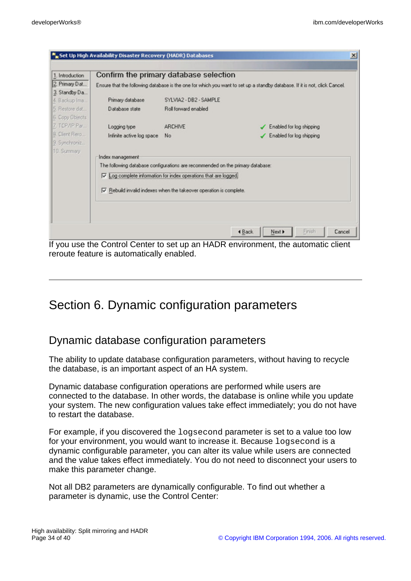| 1. Introduction | Confirm the primary database selection                                                                                     |                        |                          |  |
|-----------------|----------------------------------------------------------------------------------------------------------------------------|------------------------|--------------------------|--|
| 2. Primary Dat  | Ensure that the following database is the one for which you want to set up a standby database. If it is not, click Cancel. |                        |                          |  |
| 3. Standby Da   |                                                                                                                            |                        |                          |  |
| 4. Backup Ima   | Primary database                                                                                                           | SYLVIA2 - DB2 - SAMPLE |                          |  |
| 5. Restore dat  | Database state                                                                                                             | Roll forward enabled   |                          |  |
| 6. Copy Objects |                                                                                                                            |                        |                          |  |
| 7. TCP/IP Par   | Logging type                                                                                                               | ARCHIVE                | Enabled for log shipping |  |
| 8. Client Rero  | Infinite active log space                                                                                                  | No                     | Enabled for log shipping |  |
| 9. Synchroniz   |                                                                                                                            |                        |                          |  |
| 10. Summary     |                                                                                                                            |                        |                          |  |
|                 | Index management                                                                                                           |                        |                          |  |
|                 | The following database configurations are recommended on the primary database:                                             |                        |                          |  |
|                 | Ⅳ Log complete information for index operations that are logged.                                                           |                        |                          |  |
|                 | $\overline{\vee}$ Rebuild invalid indexes when the takeover operation is complete.                                         |                        |                          |  |
|                 |                                                                                                                            |                        |                          |  |
|                 |                                                                                                                            |                        |                          |  |
|                 |                                                                                                                            |                        |                          |  |
|                 |                                                                                                                            |                        |                          |  |

If you use the Control Center to set up an HADR environment, the automatic client reroute feature is automatically enabled.

# Section 6. Dynamic configuration parameters

### Dynamic database configuration parameters

The ability to update database configuration parameters, without having to recycle the database, is an important aspect of an HA system.

Dynamic database configuration operations are performed while users are connected to the database. In other words, the database is online while you update your system. The new configuration values take effect immediately; you do not have to restart the database.

For example, if you discovered the logsecond parameter is set to a value too low for your environment, you would want to increase it. Because logsecond is a dynamic configurable parameter, you can alter its value while users are connected and the value takes effect immediately. You do not need to disconnect your users to make this parameter change.

Not all DB2 parameters are dynamically configurable. To find out whether a parameter is dynamic, use the Control Center: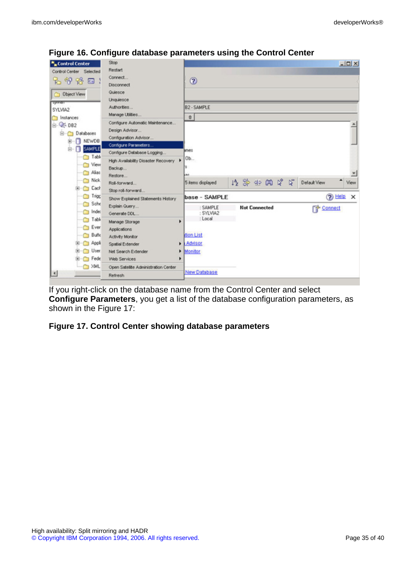| "Control Center          | Stop                                     |                                       |  |                      |  |  |  |  |              |  | $-101 \times$ |
|--------------------------|------------------------------------------|---------------------------------------|--|----------------------|--|--|--|--|--------------|--|---------------|
| Control Center Selected  | Restart                                  |                                       |  |                      |  |  |  |  |              |  |               |
| もやや口                     | Connect                                  | $^{\circ}$                            |  |                      |  |  |  |  |              |  |               |
|                          | Disconnect                               |                                       |  |                      |  |  |  |  |              |  |               |
| <b>Dbject View</b>       | Quiesce                                  |                                       |  |                      |  |  |  |  |              |  |               |
| <b>System</b>            | Unquiesce                                |                                       |  |                      |  |  |  |  |              |  |               |
| SYLVMA2                  | Authorities                              | B2 - SAMPLE                           |  |                      |  |  |  |  |              |  |               |
| nstances                 | Manage Utilities                         | $\begin{array}{c} 0 \\ 0 \end{array}$ |  |                      |  |  |  |  |              |  |               |
| 白 号 DB2                  | Configure Automatic Maintenance          |                                       |  |                      |  |  |  |  |              |  |               |
| G-Ch Databases           | Design Advisor                           |                                       |  |                      |  |  |  |  |              |  |               |
| <b>NEWDB</b><br>п<br>田   | Configuration Advisor                    |                                       |  |                      |  |  |  |  |              |  |               |
| <b>SAMPLE</b><br>п<br>白- | Configure Parameters                     |                                       |  |                      |  |  |  |  |              |  |               |
|                          | Configure Database Logging               | imes                                  |  |                      |  |  |  |  |              |  |               |
| Table                    | High Availability Disaster Recovery<br>٠ | Ob                                    |  |                      |  |  |  |  |              |  |               |
| "Yew                     | Backup                                   | 15                                    |  |                      |  |  |  |  |              |  |               |
| Aian                     | Restore                                  | A41                                   |  |                      |  |  |  |  |              |  |               |
| Nick.                    | Roll-forward                             | 5 items displayed                     |  | 修築的的房屋               |  |  |  |  | Default View |  | View          |
| Cach<br>œ-               | Stop roll-forward                        |                                       |  |                      |  |  |  |  |              |  |               |
| Trigg                    | Show Explained Statements History        | $(2)$ Help $\times$<br>base - SAMPLE  |  |                      |  |  |  |  |              |  |               |
| Sche                     | Explain Query                            | : SAMPLE                              |  | <b>Not Connected</b> |  |  |  |  | Connect      |  |               |
| nde:                     | Generate DDL                             | : SYLVIA2                             |  |                      |  |  |  |  |              |  |               |
| Table<br>n               | ь<br>Manage Storage                      | : Local                               |  |                      |  |  |  |  |              |  |               |
| Ever                     | Applications                             |                                       |  |                      |  |  |  |  |              |  |               |
| <b>Buffe</b>             | Activity Monitor                         | tion List                             |  |                      |  |  |  |  |              |  |               |
| <b>Co</b> Appli<br>œ     | Spatial Extender                         | Advisor                               |  |                      |  |  |  |  |              |  |               |
| User                     | Net Search Extender<br>٠                 | Monitor                               |  |                      |  |  |  |  |              |  |               |
| Fede<br>œ                | Web Services                             |                                       |  |                      |  |  |  |  |              |  |               |
| $\bigcap$ XML            | Open Satelite Administration Center      |                                       |  |                      |  |  |  |  |              |  |               |
| $\overline{4}$           | Refresh                                  | <b>New Database</b>                   |  |                      |  |  |  |  |              |  |               |

#### **Figure 16. Configure database parameters using the Control Center**

If you right-click on the database name from the Control Center and select **Configure Parameters**, you get a list of the database configuration parameters, as shown in the Figure 17:

#### **Figure 17. Control Center showing database parameters**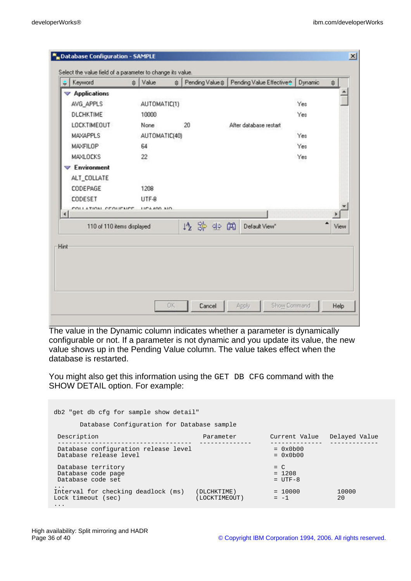|                        | Keyword                    | ≑ Value             |      | # Pending Value # Pending Value Effective | Dynamic | $\triangleq$ |      |
|------------------------|----------------------------|---------------------|------|-------------------------------------------|---------|--------------|------|
|                        | Applications               |                     |      |                                           |         |              |      |
|                        | AVG_APPLS                  | AUTOMATIC(1)        |      |                                           | Yes     |              |      |
|                        | <b>DLCHKTIME</b>           | 10000               |      |                                           | Yes     |              |      |
|                        | <b>LOCKTIMEOUT</b>         | None                | 20   | After database restart                    |         |              |      |
|                        | MAXAPPLS                   | AUTOMATIC(40)       |      |                                           | Yes     |              |      |
|                        | MAXFILOP                   | 64                  |      |                                           | Yes     |              |      |
|                        | <b>MAXLOCKS</b>            | 22                  |      |                                           | Yes     |              |      |
|                        | $\nabla$ Environment       |                     |      |                                           |         |              |      |
|                        | ALT_COLLATE                |                     |      |                                           |         |              |      |
|                        | CODEPAGE                   | 1208                |      |                                           |         |              |      |
|                        | CODESET                    | LITF-8              |      |                                           |         |              |      |
| $\left  \cdot \right $ | COLLATION CEOLIFMEE        | <b>ULCA 400 AIO</b> |      |                                           |         |              |      |
|                        | 110 of 110 items displayed |                     | 收許生用 | Default View*                             |         | ▲            | View |
|                        |                            |                     |      |                                           |         |              |      |

The value in the Dynamic column indicates whether a parameter is dynamically configurable or not. If a parameter is not dynamic and you update its value, the new value shows up in the Pending Value column. The value takes effect when the database is restarted.

You might also get this information using the GET DB CFG command with the SHOW DETAIL option. For example:

| db2 "get db cfg for sample show detail"                                           |                              |                                 |               |  |  |  |  |  |  |  |
|-----------------------------------------------------------------------------------|------------------------------|---------------------------------|---------------|--|--|--|--|--|--|--|
| Database Configuration for Database sample                                        |                              |                                 |               |  |  |  |  |  |  |  |
| Description                                                                       | Parameter                    | Current Value                   | Delayed Value |  |  |  |  |  |  |  |
| Database configuration release level<br>Database release level                    |                              | $= 0x0b00$<br>$= 0x0b00$        |               |  |  |  |  |  |  |  |
| Database territory<br>Database code page<br>Database code set                     |                              | $= C$<br>$= 1208$<br>$= IJTF-8$ |               |  |  |  |  |  |  |  |
| $\cdot$<br>Interval for checking deadlock (ms)<br>Lock timeout (sec)<br>$\ddotsc$ | (DLCHKTIME)<br>(LOCKTIMEOUT) | $= 10000$<br>$= -1$             | 10000<br>20   |  |  |  |  |  |  |  |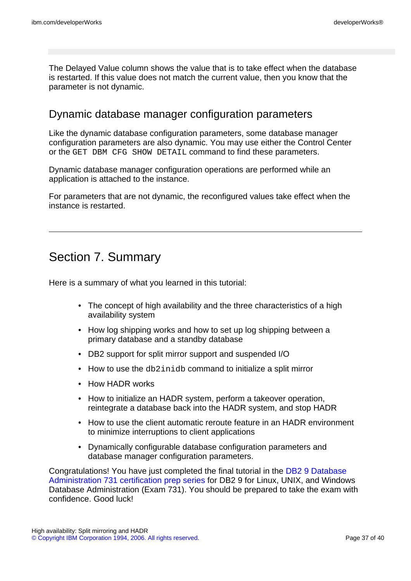The Delayed Value column shows the value that is to take effect when the database is restarted. If this value does not match the current value, then you know that the parameter is not dynamic.

### Dynamic database manager configuration parameters

Like the dynamic database configuration parameters, some database manager configuration parameters are also dynamic. You may use either the Control Center or the GET DBM CFG SHOW DETAIL command to find these parameters.

Dynamic database manager configuration operations are performed while an application is attached to the instance.

For parameters that are not dynamic, the reconfigured values take effect when the instance is restarted.

# Section 7. Summary

Here is a summary of what you learned in this tutorial:

- The concept of high availability and the three characteristics of a high availability system
- How log shipping works and how to set up log shipping between a primary database and a standby database
- DB2 support for split mirror support and suspended I/O
- How to use the db2inidb command to initialize a split mirror
- How HADR works
- How to initialize an HADR system, perform a takeover operation, reintegrate a database back into the HADR system, and stop HADR
- How to use the client automatic reroute feature in an HADR environment to minimize interruptions to client applications
- Dynamically configurable database configuration parameters and database manager configuration parameters.

Congratulations! You have just completed the final tutorial in the [DB2 9 Database](http://www.ibm.com/developerworks/offers/lp/db2cert/db2-cert731.html?S_TACT=105AGX19&S_CMP=db2cert) [Administration 731 certification prep series](http://www.ibm.com/developerworks/offers/lp/db2cert/db2-cert731.html?S_TACT=105AGX19&S_CMP=db2cert) for DB2 9 for Linux, UNIX, and Windows Database Administration (Exam 731). You should be prepared to take the exam with confidence. Good luck!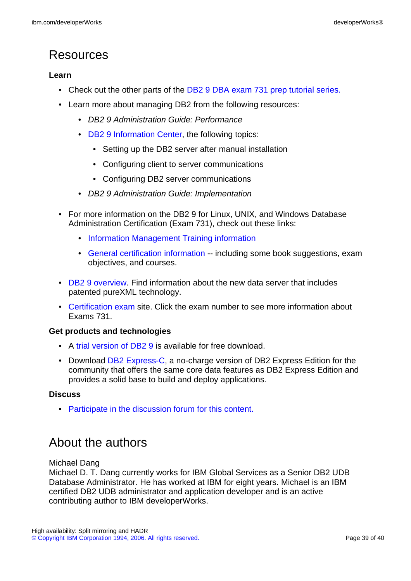# Resources

#### **Learn**

- Check out the other parts of the [DB2 9 DBA exam 731 prep tutorial series.](http://www.ibm.com/developerworks/offers/lp/db2cert/db2-cert731.html?S_TACT=105AGX19&S_CMP=db2cert)
- Learn more about managing DB2 from the following resources:
	- DB2 9 Administration Guide: Performance
	- [DB2 9 Information Center,](http://publib.boulder.ibm.com/infocenter/db2luw/v9/) the following topics:
		- Setting up the DB2 server after manual installation
		- Configuring client to server communications
		- Configuring DB2 server communications
	- DB2 9 Administration Guide: Implementation
- For more information on the DB2 9 for Linux, UNIX, and Windows Database Administration Certification (Exam 731), check out these links:
	- [Information Management Training information](http://www-306.ibm.com/software/data/education/cert.html)
	- [General certification information](http://www-306.ibm.com/software/data/education/cert.html) -- including some book suggestions, exam objectives, and courses.
- [DB2 9 overview](http://www-306.ibm.com/software/data/db2/v9/pr.html). Find information about the new data server that includes patented pureXML technology.
- [Certification exam](http://www-03.ibm.com/certify/tests/test_index.shtml) site. Click the exam number to see more information about Exams 731.

#### **Get products and technologies**

- A [trial version of DB2 9](http://www.ibm.com/developerworks/downloads/im/udb/?S_TACT=105AGX19&S_CMP=db2cert) is available for free download.
- Download [DB2 Express-C,](http://www.ibm.com/developerworks/downloads/im/udbexp/index.html?S_TACT=105AGX19&S_CMP=db2cert) a no-charge version of DB2 Express Edition for the community that offers the same core data features as DB2 Express Edition and provides a solid base to build and deploy applications.

#### **Discuss**

• [Participate in the discussion forum for this content.](http://www.ibm.com/developerworks/forums/#IM)

# <span id="page-38-0"></span>About the authors

Michael Dang

Michael D. T. Dang currently works for IBM Global Services as a Senior DB2 UDB Database Administrator. He has worked at IBM for eight years. Michael is an IBM certified DB2 UDB administrator and application developer and is an active contributing author to IBM developerWorks.